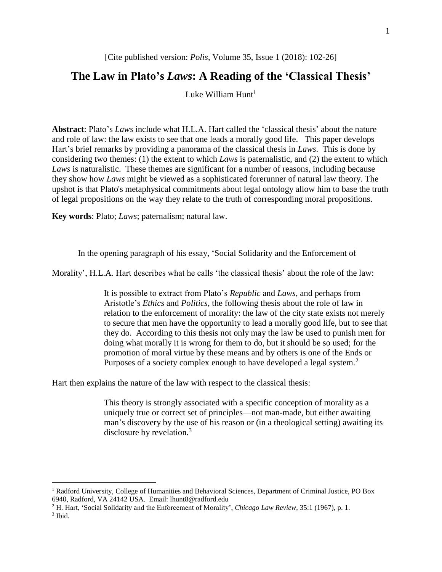# [Cite published version: *Polis*, Volume 35, Issue 1 (2018): 102-26]

# **The Law in Plato's** *Laws***: A Reading of the 'Classical Thesis'**

Luke William  $Hunt<sup>1</sup>$ 

**Abstract**: Plato's *Laws* include what H.L.A. Hart called the 'classical thesis' about the nature and role of law: the law exists to see that one leads a morally good life. This paper develops Hart's brief remarks by providing a panorama of the classical thesis in *Laws*. This is done by considering two themes: (1) the extent to which *Laws* is paternalistic, and (2) the extent to which *Laws* is naturalistic. These themes are significant for a number of reasons, including because they show how *Laws* might be viewed as a sophisticated forerunner of natural law theory. The upshot is that Plato's metaphysical commitments about legal ontology allow him to base the truth of legal propositions on the way they relate to the truth of corresponding moral propositions.

**Key words**: Plato; *Laws*; paternalism; natural law.

In the opening paragraph of his essay, 'Social Solidarity and the Enforcement of

Morality', H.L.A. Hart describes what he calls 'the classical thesis' about the role of the law:

It is possible to extract from Plato's *Republic* and *Laws*, and perhaps from Aristotle's *Ethics* and *Politics*, the following thesis about the role of law in relation to the enforcement of morality: the law of the city state exists not merely to secure that men have the opportunity to lead a morally good life, but to see that they do. According to this thesis not only may the law be used to punish men for doing what morally it is wrong for them to do, but it should be so used; for the promotion of moral virtue by these means and by others is one of the Ends or Purposes of a society complex enough to have developed a legal system.<sup>2</sup>

Hart then explains the nature of the law with respect to the classical thesis:

This theory is strongly associated with a specific conception of morality as a uniquely true or correct set of principles—not man-made, but either awaiting man's discovery by the use of his reason or (in a theological setting) awaiting its disclosure by revelation.<sup>3</sup>

<sup>&</sup>lt;sup>1</sup> Radford University, College of Humanities and Behavioral Sciences, Department of Criminal Justice, PO Box 6940, Radford, VA 24142 USA. Email: lhunt8@radford.edu

<sup>2</sup> H. Hart, 'Social Solidarity and the Enforcement of Morality', *Chicago Law Review*, 35:1 (1967), p. 1.

<sup>3</sup> Ibid.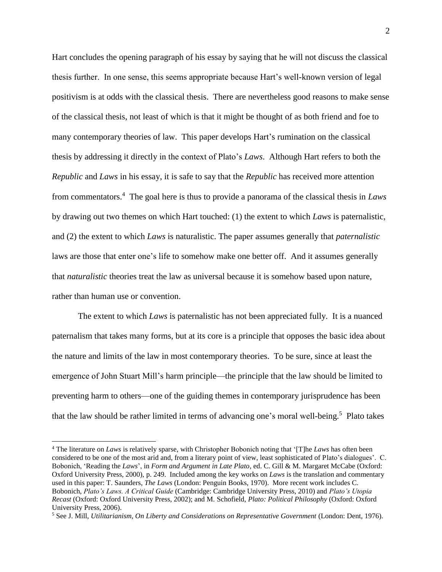Hart concludes the opening paragraph of his essay by saying that he will not discuss the classical thesis further. In one sense, this seems appropriate because Hart's well-known version of legal positivism is at odds with the classical thesis. There are nevertheless good reasons to make sense of the classical thesis, not least of which is that it might be thought of as both friend and foe to many contemporary theories of law. This paper develops Hart's rumination on the classical thesis by addressing it directly in the context of Plato's *Laws*. Although Hart refers to both the *Republic* and *Laws* in his essay, it is safe to say that the *Republic* has received more attention from commentators.<sup>4</sup> The goal here is thus to provide a panorama of the classical thesis in *Laws* by drawing out two themes on which Hart touched: (1) the extent to which *Laws* is paternalistic, and (2) the extent to which *Laws* is naturalistic. The paper assumes generally that *paternalistic* laws are those that enter one's life to somehow make one better off. And it assumes generally that *naturalistic* theories treat the law as universal because it is somehow based upon nature, rather than human use or convention.

The extent to which *Laws* is paternalistic has not been appreciated fully. It is a nuanced paternalism that takes many forms, but at its core is a principle that opposes the basic idea about the nature and limits of the law in most contemporary theories. To be sure, since at least the emergence of John Stuart Mill's harm principle—the principle that the law should be limited to preventing harm to others—one of the guiding themes in contemporary jurisprudence has been that the law should be rather limited in terms of advancing one's moral well-being.<sup>5</sup> Plato takes

<sup>4</sup> The literature on *Laws* is relatively sparse, with Christopher Bobonich noting that '[T]he *Laws* has often been considered to be one of the most arid and, from a literary point of view, least sophisticated of Plato's dialogues'. C. Bobonich, 'Reading the *Laws*', in *Form and Argument in Late Plato*, ed. C. Gill & M. Margaret McCabe (Oxford: Oxford University Press, 2000), p. 249. Included among the key works on *Laws* is the translation and commentary used in this paper: T. Saunders, *The Laws* (London: Penguin Books, 1970). More recent work includes C. Bobonich, *Plato's Laws. A Critical Guide* (Cambridge: Cambridge University Press, 2010) and *Plato's Utopia Recast* (Oxford: Oxford University Press, 2002); and M. Schofield, *Plato: Political Philosophy* (Oxford: Oxford University Press, 2006).

<sup>5</sup> See J. Mill, *Utilitarianism, On Liberty and Considerations on Representative Government* (London: Dent, 1976).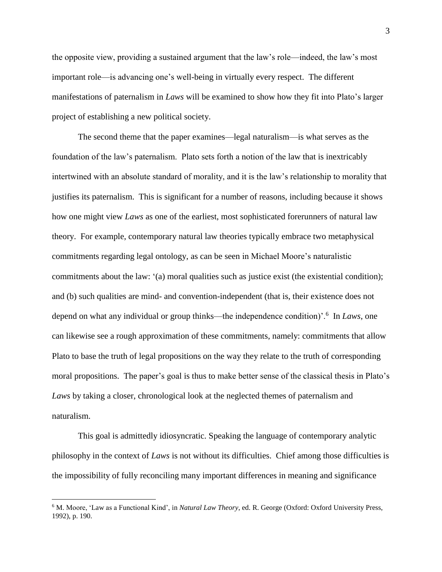the opposite view, providing a sustained argument that the law's role—indeed, the law's most important role—is advancing one's well-being in virtually every respect. The different manifestations of paternalism in *Laws* will be examined to show how they fit into Plato's larger project of establishing a new political society.

The second theme that the paper examines—legal naturalism—is what serves as the foundation of the law's paternalism. Plato sets forth a notion of the law that is inextricably intertwined with an absolute standard of morality, and it is the law's relationship to morality that justifies its paternalism. This is significant for a number of reasons, including because it shows how one might view *Laws* as one of the earliest, most sophisticated forerunners of natural law theory. For example, contemporary natural law theories typically embrace two metaphysical commitments regarding legal ontology, as can be seen in Michael Moore's naturalistic commitments about the law: '(a) moral qualities such as justice exist (the existential condition); and (b) such qualities are mind- and convention-independent (that is, their existence does not depend on what any individual or group thinks—the independence condition)'.<sup>6</sup> In *Laws*, one can likewise see a rough approximation of these commitments, namely: commitments that allow Plato to base the truth of legal propositions on the way they relate to the truth of corresponding moral propositions. The paper's goal is thus to make better sense of the classical thesis in Plato's *Laws* by taking a closer, chronological look at the neglected themes of paternalism and naturalism.

This goal is admittedly idiosyncratic. Speaking the language of contemporary analytic philosophy in the context of *Laws* is not without its difficulties. Chief among those difficulties is the impossibility of fully reconciling many important differences in meaning and significance

<sup>6</sup> M. Moore, 'Law as a Functional Kind', in *Natural Law Theory*, ed. R. George (Oxford: Oxford University Press, 1992), p. 190.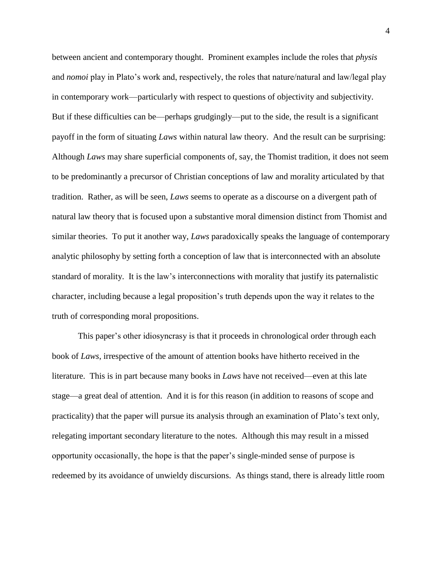between ancient and contemporary thought. Prominent examples include the roles that *physis* and *nomoi* play in Plato's work and, respectively, the roles that nature/natural and law/legal play in contemporary work—particularly with respect to questions of objectivity and subjectivity. But if these difficulties can be—perhaps grudgingly—put to the side, the result is a significant payoff in the form of situating *Laws* within natural law theory. And the result can be surprising: Although *Laws* may share superficial components of, say, the Thomist tradition, it does not seem to be predominantly a precursor of Christian conceptions of law and morality articulated by that tradition. Rather, as will be seen, *Laws* seems to operate as a discourse on a divergent path of natural law theory that is focused upon a substantive moral dimension distinct from Thomist and similar theories. To put it another way, *Laws* paradoxically speaks the language of contemporary analytic philosophy by setting forth a conception of law that is interconnected with an absolute standard of morality. It is the law's interconnections with morality that justify its paternalistic character, including because a legal proposition's truth depends upon the way it relates to the truth of corresponding moral propositions.

This paper's other idiosyncrasy is that it proceeds in chronological order through each book of *Laws*, irrespective of the amount of attention books have hitherto received in the literature. This is in part because many books in *Laws* have not received—even at this late stage—a great deal of attention. And it is for this reason (in addition to reasons of scope and practicality) that the paper will pursue its analysis through an examination of Plato's text only, relegating important secondary literature to the notes. Although this may result in a missed opportunity occasionally, the hope is that the paper's single-minded sense of purpose is redeemed by its avoidance of unwieldy discursions. As things stand, there is already little room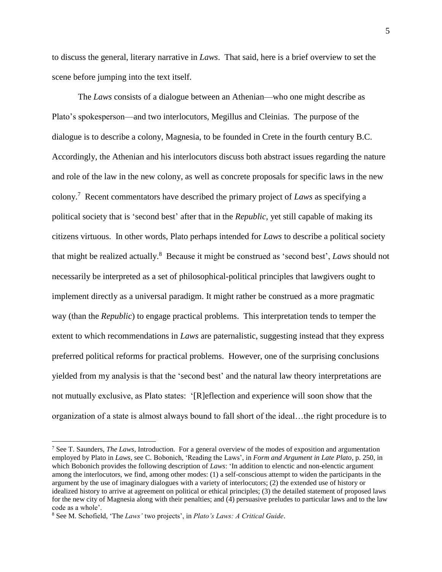to discuss the general, literary narrative in *Laws*. That said, here is a brief overview to set the scene before jumping into the text itself.

The *Laws* consists of a dialogue between an Athenian—who one might describe as Plato's spokesperson—and two interlocutors, Megillus and Cleinias. The purpose of the dialogue is to describe a colony, Magnesia, to be founded in Crete in the fourth century B.C. Accordingly, the Athenian and his interlocutors discuss both abstract issues regarding the nature and role of the law in the new colony, as well as concrete proposals for specific laws in the new colony.<sup>7</sup> Recent commentators have described the primary project of *Laws* as specifying a political society that is 'second best' after that in the *Republic,* yet still capable of making its citizens virtuous. In other words, Plato perhaps intended for *Laws* to describe a political society that might be realized actually.<sup>8</sup> Because it might be construed as 'second best', *Laws* should not necessarily be interpreted as a set of philosophical-political principles that lawgivers ought to implement directly as a universal paradigm. It might rather be construed as a more pragmatic way (than the *Republic*) to engage practical problems. This interpretation tends to temper the extent to which recommendations in *Laws* are paternalistic, suggesting instead that they express preferred political reforms for practical problems. However, one of the surprising conclusions yielded from my analysis is that the 'second best' and the natural law theory interpretations are not mutually exclusive, as Plato states: '[R]eflection and experience will soon show that the organization of a state is almost always bound to fall short of the ideal…the right procedure is to

<sup>7</sup> See T. Saunders, *The Laws*, Introduction. For a general overview of the modes of exposition and argumentation employed by Plato in *Laws*, see C. Bobonich, 'Reading the Laws', in *Form and Argument in Late Plato*, p. 250, in which Bobonich provides the following description of *Laws*: 'In addition to elenctic and non-elenctic argument among the interlocutors, we find, among other modes: (1) a self-conscious attempt to widen the participants in the argument by the use of imaginary dialogues with a variety of interlocutors; (2) the extended use of history or idealized history to arrive at agreement on political or ethical principles; (3) the detailed statement of proposed laws for the new city of Magnesia along with their penalties; and (4) persuasive preludes to particular laws and to the law code as a whole'.

<sup>8</sup> See M. Schofield, 'The *Laws'* two projects', in *Plato's Laws: A Critical Guide*.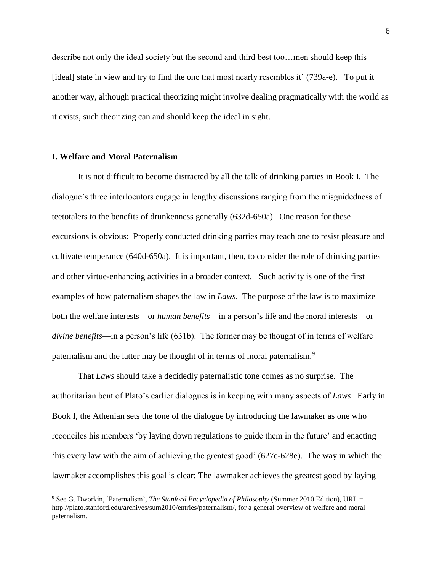describe not only the ideal society but the second and third best too…men should keep this [ideal] state in view and try to find the one that most nearly resembles it' (739a-e). To put it another way, although practical theorizing might involve dealing pragmatically with the world as it exists, such theorizing can and should keep the ideal in sight.

# **I. Welfare and Moral Paternalism**

 $\overline{a}$ 

It is not difficult to become distracted by all the talk of drinking parties in Book I. The dialogue's three interlocutors engage in lengthy discussions ranging from the misguidedness of teetotalers to the benefits of drunkenness generally (632d-650a). One reason for these excursions is obvious: Properly conducted drinking parties may teach one to resist pleasure and cultivate temperance (640d-650a). It is important, then, to consider the role of drinking parties and other virtue-enhancing activities in a broader context. Such activity is one of the first examples of how paternalism shapes the law in *Laws*. The purpose of the law is to maximize both the welfare interests—or *human benefits*—in a person's life and the moral interests—or *divine benefits*—in a person's life (631b). The former may be thought of in terms of welfare paternalism and the latter may be thought of in terms of moral paternalism.<sup>9</sup>

That *Laws* should take a decidedly paternalistic tone comes as no surprise. The authoritarian bent of Plato's earlier dialogues is in keeping with many aspects of *Laws*. Early in Book I, the Athenian sets the tone of the dialogue by introducing the lawmaker as one who reconciles his members 'by laying down regulations to guide them in the future' and enacting 'his every law with the aim of achieving the greatest good' (627e-628e). The way in which the lawmaker accomplishes this goal is clear: The lawmaker achieves the greatest good by laying

<sup>9</sup> See G. Dworkin, 'Paternalism', *The Stanford Encyclopedia of Philosophy* (Summer 2010 Edition), URL = http://plato.stanford.edu/archives/sum2010/entries/paternalism/, for a general overview of welfare and moral paternalism.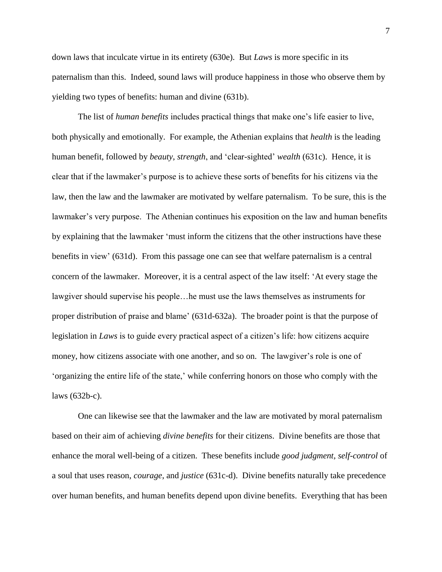down laws that inculcate virtue in its entirety (630e). But *Laws* is more specific in its paternalism than this. Indeed, sound laws will produce happiness in those who observe them by yielding two types of benefits: human and divine (631b).

The list of *human benefits* includes practical things that make one's life easier to live, both physically and emotionally. For example, the Athenian explains that *health* is the leading human benefit, followed by *beauty*, *strength*, and 'clear-sighted' *wealth* (631c). Hence, it is clear that if the lawmaker's purpose is to achieve these sorts of benefits for his citizens via the law, then the law and the lawmaker are motivated by welfare paternalism. To be sure, this is the lawmaker's very purpose. The Athenian continues his exposition on the law and human benefits by explaining that the lawmaker 'must inform the citizens that the other instructions have these benefits in view' (631d). From this passage one can see that welfare paternalism is a central concern of the lawmaker. Moreover, it is a central aspect of the law itself: 'At every stage the lawgiver should supervise his people…he must use the laws themselves as instruments for proper distribution of praise and blame' (631d-632a). The broader point is that the purpose of legislation in *Laws* is to guide every practical aspect of a citizen's life: how citizens acquire money, how citizens associate with one another, and so on. The lawgiver's role is one of 'organizing the entire life of the state,' while conferring honors on those who comply with the laws (632b-c).

One can likewise see that the lawmaker and the law are motivated by moral paternalism based on their aim of achieving *divine benefits* for their citizens. Divine benefits are those that enhance the moral well-being of a citizen. These benefits include *good judgment*, *self-control* of a soul that uses reason, *courage*, and *justice* (631c-d). Divine benefits naturally take precedence over human benefits, and human benefits depend upon divine benefits. Everything that has been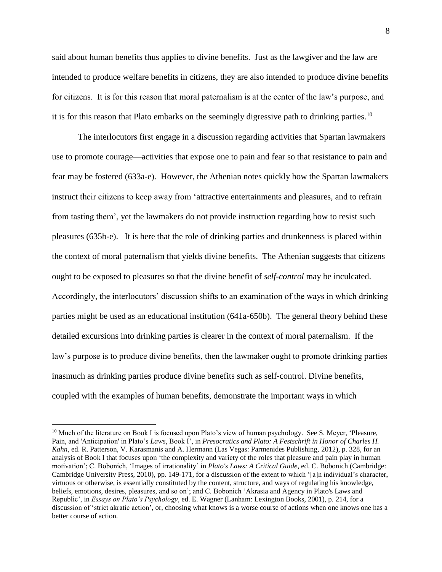said about human benefits thus applies to divine benefits. Just as the lawgiver and the law are intended to produce welfare benefits in citizens, they are also intended to produce divine benefits for citizens. It is for this reason that moral paternalism is at the center of the law's purpose, and it is for this reason that Plato embarks on the seemingly digressive path to drinking parties.<sup>10</sup>

The interlocutors first engage in a discussion regarding activities that Spartan lawmakers use to promote courage—activities that expose one to pain and fear so that resistance to pain and fear may be fostered (633a-e). However, the Athenian notes quickly how the Spartan lawmakers instruct their citizens to keep away from 'attractive entertainments and pleasures, and to refrain from tasting them', yet the lawmakers do not provide instruction regarding how to resist such pleasures (635b-e). It is here that the role of drinking parties and drunkenness is placed within the context of moral paternalism that yields divine benefits. The Athenian suggests that citizens ought to be exposed to pleasures so that the divine benefit of *self-control* may be inculcated. Accordingly, the interlocutors' discussion shifts to an examination of the ways in which drinking parties might be used as an educational institution (641a-650b). The general theory behind these detailed excursions into drinking parties is clearer in the context of moral paternalism. If the law's purpose is to produce divine benefits, then the lawmaker ought to promote drinking parties inasmuch as drinking parties produce divine benefits such as self-control. Divine benefits, coupled with the examples of human benefits, demonstrate the important ways in which

<sup>&</sup>lt;sup>10</sup> Much of the literature on Book I is focused upon Plato's view of human psychology. See S. Meyer, 'Pleasure, Pain, and 'Anticipation' in Plato's *Laws*, Book I', in *Presocratics and Plato: A Festschrift in Honor of Charles H. Kahn*, ed. R. Patterson, V. Karasmanis and A. Hermann (Las Vegas: Parmenides Publishing, 2012), p. 328, for an analysis of Book I that focuses upon 'the complexity and variety of the roles that pleasure and pain play in human motivation'; C. Bobonich, 'Images of irrationality' in *Plato's Laws: A Critical Guide*, ed. C. Bobonich (Cambridge: Cambridge University Press, 2010), pp. 149-171, for a discussion of the extent to which '[a]n individual's character, virtuous or otherwise, is essentially constituted by the content, structure, and ways of regulating his knowledge, beliefs, emotions, desires, pleasures, and so on'; and C. Bobonich 'Akrasia and Agency in Plato's Laws and Republic', in *Essays on Plato's Psychology*, ed. E. Wagner (Lanham: Lexington Books, 2001), p. 214, for a discussion of 'strict akratic action', or, choosing what knows is a worse course of actions when one knows one has a better course of action.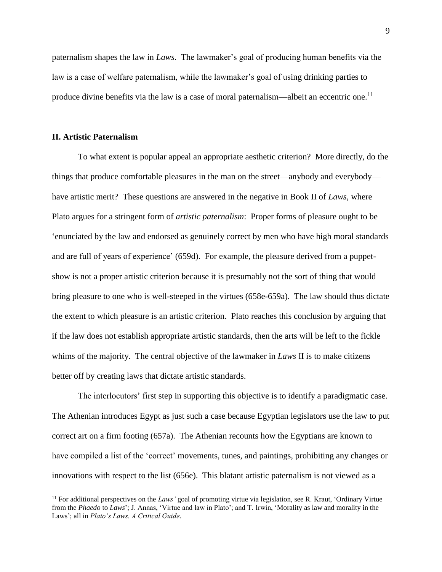paternalism shapes the law in *Laws*. The lawmaker's goal of producing human benefits via the law is a case of welfare paternalism, while the lawmaker's goal of using drinking parties to produce divine benefits via the law is a case of moral paternalism—albeit an eccentric one.<sup>11</sup>

# **II. Artistic Paternalism**

 $\overline{a}$ 

To what extent is popular appeal an appropriate aesthetic criterion? More directly, do the things that produce comfortable pleasures in the man on the street—anybody and everybody have artistic merit? These questions are answered in the negative in Book II of *Laws*, where Plato argues for a stringent form of *artistic paternalism*: Proper forms of pleasure ought to be 'enunciated by the law and endorsed as genuinely correct by men who have high moral standards and are full of years of experience' (659d). For example, the pleasure derived from a puppetshow is not a proper artistic criterion because it is presumably not the sort of thing that would bring pleasure to one who is well-steeped in the virtues (658e-659a). The law should thus dictate the extent to which pleasure is an artistic criterion. Plato reaches this conclusion by arguing that if the law does not establish appropriate artistic standards, then the arts will be left to the fickle whims of the majority. The central objective of the lawmaker in *Laws* II is to make citizens better off by creating laws that dictate artistic standards.

The interlocutors' first step in supporting this objective is to identify a paradigmatic case. The Athenian introduces Egypt as just such a case because Egyptian legislators use the law to put correct art on a firm footing (657a). The Athenian recounts how the Egyptians are known to have compiled a list of the 'correct' movements, tunes, and paintings, prohibiting any changes or innovations with respect to the list (656e). This blatant artistic paternalism is not viewed as a

<sup>&</sup>lt;sup>11</sup> For additional perspectives on the *Laws'* goal of promoting virtue via legislation, see R. Kraut, 'Ordinary Virtue from the *Phaedo* to *Laws*'; J. Annas, 'Virtue and law in Plato'; and T. Irwin, 'Morality as law and morality in the Laws'; all in *Plato's Laws. A Critical Guide*.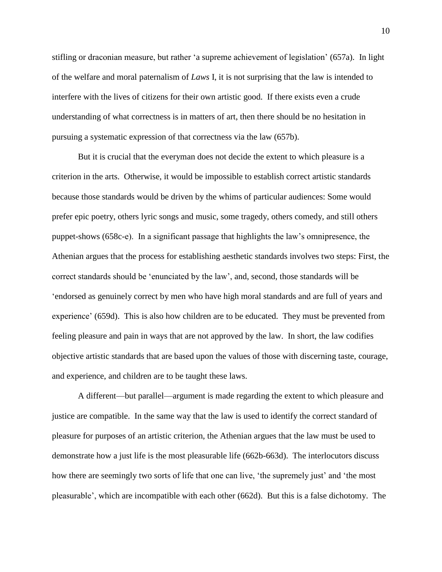stifling or draconian measure, but rather 'a supreme achievement of legislation' (657a). In light of the welfare and moral paternalism of *Laws* I, it is not surprising that the law is intended to interfere with the lives of citizens for their own artistic good. If there exists even a crude understanding of what correctness is in matters of art, then there should be no hesitation in pursuing a systematic expression of that correctness via the law (657b).

But it is crucial that the everyman does not decide the extent to which pleasure is a criterion in the arts. Otherwise, it would be impossible to establish correct artistic standards because those standards would be driven by the whims of particular audiences: Some would prefer epic poetry, others lyric songs and music, some tragedy, others comedy, and still others puppet-shows (658c-e). In a significant passage that highlights the law's omnipresence, the Athenian argues that the process for establishing aesthetic standards involves two steps: First, the correct standards should be 'enunciated by the law', and, second, those standards will be 'endorsed as genuinely correct by men who have high moral standards and are full of years and experience' (659d). This is also how children are to be educated. They must be prevented from feeling pleasure and pain in ways that are not approved by the law. In short, the law codifies objective artistic standards that are based upon the values of those with discerning taste, courage, and experience, and children are to be taught these laws.

A different—but parallel—argument is made regarding the extent to which pleasure and justice are compatible. In the same way that the law is used to identify the correct standard of pleasure for purposes of an artistic criterion, the Athenian argues that the law must be used to demonstrate how a just life is the most pleasurable life (662b-663d). The interlocutors discuss how there are seemingly two sorts of life that one can live, 'the supremely just' and 'the most pleasurable', which are incompatible with each other (662d). But this is a false dichotomy. The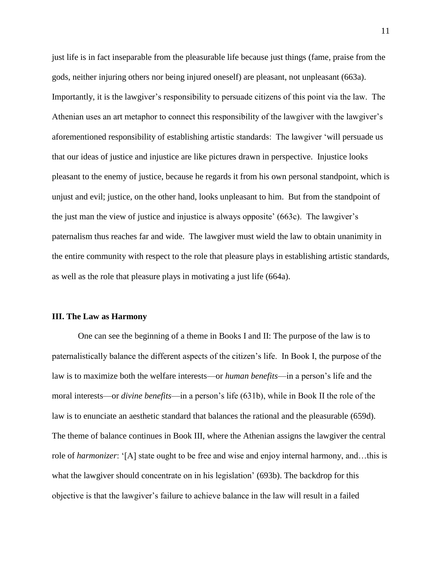just life is in fact inseparable from the pleasurable life because just things (fame, praise from the gods, neither injuring others nor being injured oneself) are pleasant, not unpleasant (663a). Importantly, it is the lawgiver's responsibility to persuade citizens of this point via the law. The Athenian uses an art metaphor to connect this responsibility of the lawgiver with the lawgiver's aforementioned responsibility of establishing artistic standards: The lawgiver 'will persuade us that our ideas of justice and injustice are like pictures drawn in perspective. Injustice looks pleasant to the enemy of justice, because he regards it from his own personal standpoint, which is unjust and evil; justice, on the other hand, looks unpleasant to him. But from the standpoint of the just man the view of justice and injustice is always opposite' (663c). The lawgiver's paternalism thus reaches far and wide. The lawgiver must wield the law to obtain unanimity in the entire community with respect to the role that pleasure plays in establishing artistic standards, as well as the role that pleasure plays in motivating a just life (664a).

#### **III. The Law as Harmony**

One can see the beginning of a theme in Books I and II: The purpose of the law is to paternalistically balance the different aspects of the citizen's life. In Book I, the purpose of the law is to maximize both the welfare interests—or *human benefits*—in a person's life and the moral interests—or *divine benefits*—in a person's life (631b), while in Book II the role of the law is to enunciate an aesthetic standard that balances the rational and the pleasurable (659d). The theme of balance continues in Book III, where the Athenian assigns the lawgiver the central role of *harmonizer*: '[A] state ought to be free and wise and enjoy internal harmony, and…this is what the lawgiver should concentrate on in his legislation' (693b). The backdrop for this objective is that the lawgiver's failure to achieve balance in the law will result in a failed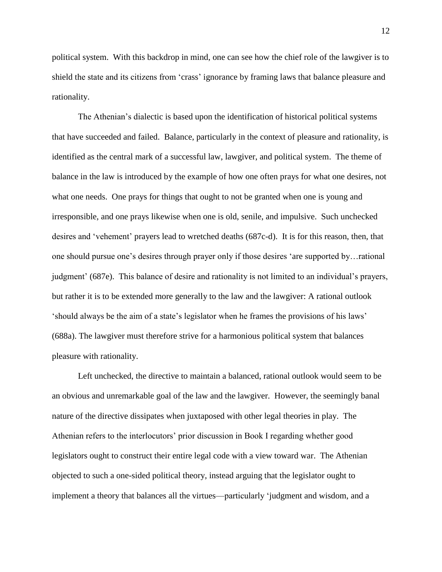political system. With this backdrop in mind, one can see how the chief role of the lawgiver is to shield the state and its citizens from 'crass' ignorance by framing laws that balance pleasure and rationality.

The Athenian's dialectic is based upon the identification of historical political systems that have succeeded and failed. Balance, particularly in the context of pleasure and rationality, is identified as the central mark of a successful law, lawgiver, and political system. The theme of balance in the law is introduced by the example of how one often prays for what one desires, not what one needs. One prays for things that ought to not be granted when one is young and irresponsible, and one prays likewise when one is old, senile, and impulsive. Such unchecked desires and 'vehement' prayers lead to wretched deaths (687c-d). It is for this reason, then, that one should pursue one's desires through prayer only if those desires 'are supported by…rational judgment' (687e). This balance of desire and rationality is not limited to an individual's prayers, but rather it is to be extended more generally to the law and the lawgiver: A rational outlook 'should always be the aim of a state's legislator when he frames the provisions of his laws' (688a). The lawgiver must therefore strive for a harmonious political system that balances pleasure with rationality.

Left unchecked, the directive to maintain a balanced, rational outlook would seem to be an obvious and unremarkable goal of the law and the lawgiver. However, the seemingly banal nature of the directive dissipates when juxtaposed with other legal theories in play. The Athenian refers to the interlocutors' prior discussion in Book I regarding whether good legislators ought to construct their entire legal code with a view toward war. The Athenian objected to such a one-sided political theory, instead arguing that the legislator ought to implement a theory that balances all the virtues—particularly 'judgment and wisdom, and a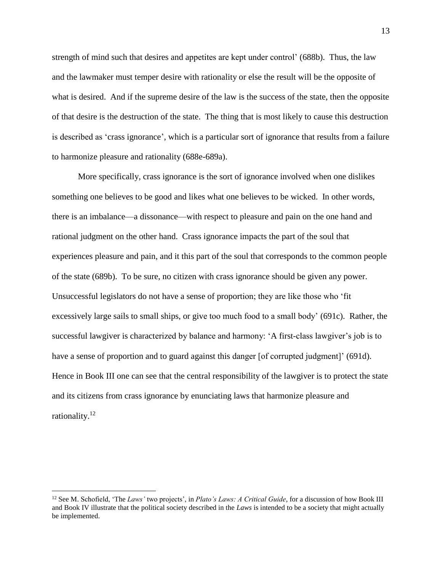strength of mind such that desires and appetites are kept under control' (688b). Thus, the law and the lawmaker must temper desire with rationality or else the result will be the opposite of what is desired. And if the supreme desire of the law is the success of the state, then the opposite of that desire is the destruction of the state. The thing that is most likely to cause this destruction is described as 'crass ignorance', which is a particular sort of ignorance that results from a failure to harmonize pleasure and rationality (688e-689a).

More specifically, crass ignorance is the sort of ignorance involved when one dislikes something one believes to be good and likes what one believes to be wicked. In other words, there is an imbalance—a dissonance—with respect to pleasure and pain on the one hand and rational judgment on the other hand. Crass ignorance impacts the part of the soul that experiences pleasure and pain, and it this part of the soul that corresponds to the common people of the state (689b). To be sure, no citizen with crass ignorance should be given any power. Unsuccessful legislators do not have a sense of proportion; they are like those who 'fit excessively large sails to small ships, or give too much food to a small body' (691c). Rather, the successful lawgiver is characterized by balance and harmony: 'A first-class lawgiver's job is to have a sense of proportion and to guard against this danger [of corrupted judgment]' (691d). Hence in Book III one can see that the central responsibility of the lawgiver is to protect the state and its citizens from crass ignorance by enunciating laws that harmonize pleasure and rationality.<sup>12</sup>

<sup>12</sup> See M. Schofield, 'The *Laws'* two projects', in *Plato's Laws: A Critical Guide*, for a discussion of how Book III and Book IV illustrate that the political society described in the *Laws* is intended to be a society that might actually be implemented.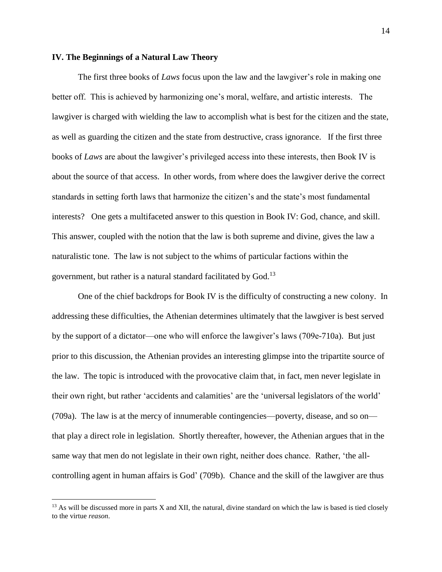# **IV. The Beginnings of a Natural Law Theory**

The first three books of *Laws* focus upon the law and the lawgiver's role in making one better off. This is achieved by harmonizing one's moral, welfare, and artistic interests. The lawgiver is charged with wielding the law to accomplish what is best for the citizen and the state, as well as guarding the citizen and the state from destructive, crass ignorance. If the first three books of *Laws* are about the lawgiver's privileged access into these interests, then Book IV is about the source of that access. In other words, from where does the lawgiver derive the correct standards in setting forth laws that harmonize the citizen's and the state's most fundamental interests? One gets a multifaceted answer to this question in Book IV: God, chance, and skill. This answer, coupled with the notion that the law is both supreme and divine, gives the law a naturalistic tone. The law is not subject to the whims of particular factions within the government, but rather is a natural standard facilitated by God.<sup>13</sup>

One of the chief backdrops for Book IV is the difficulty of constructing a new colony. In addressing these difficulties, the Athenian determines ultimately that the lawgiver is best served by the support of a dictator—one who will enforce the lawgiver's laws (709e-710a). But just prior to this discussion, the Athenian provides an interesting glimpse into the tripartite source of the law. The topic is introduced with the provocative claim that, in fact, men never legislate in their own right, but rather 'accidents and calamities' are the 'universal legislators of the world' (709a). The law is at the mercy of innumerable contingencies—poverty, disease, and so on that play a direct role in legislation. Shortly thereafter, however, the Athenian argues that in the same way that men do not legislate in their own right, neither does chance. Rather, 'the allcontrolling agent in human affairs is God' (709b). Chance and the skill of the lawgiver are thus

 $13$  As will be discussed more in parts X and XII, the natural, divine standard on which the law is based is tied closely to the virtue *reason*.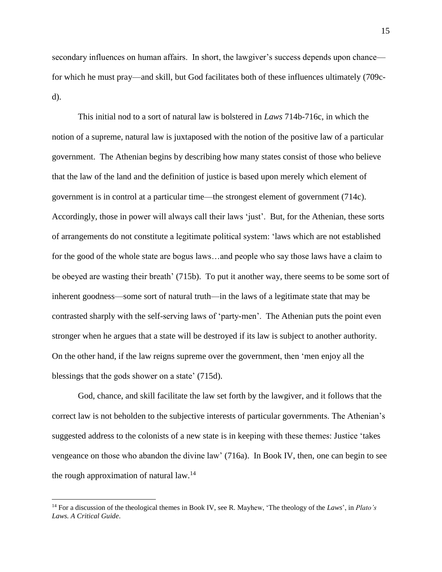secondary influences on human affairs. In short, the lawgiver's success depends upon chance for which he must pray—and skill, but God facilitates both of these influences ultimately (709cd).

This initial nod to a sort of natural law is bolstered in *Laws* 714b-716c, in which the notion of a supreme, natural law is juxtaposed with the notion of the positive law of a particular government. The Athenian begins by describing how many states consist of those who believe that the law of the land and the definition of justice is based upon merely which element of government is in control at a particular time—the strongest element of government (714c). Accordingly, those in power will always call their laws 'just'. But, for the Athenian, these sorts of arrangements do not constitute a legitimate political system: 'laws which are not established for the good of the whole state are bogus laws…and people who say those laws have a claim to be obeyed are wasting their breath' (715b). To put it another way, there seems to be some sort of inherent goodness—some sort of natural truth—in the laws of a legitimate state that may be contrasted sharply with the self-serving laws of 'party-men'. The Athenian puts the point even stronger when he argues that a state will be destroyed if its law is subject to another authority. On the other hand, if the law reigns supreme over the government, then 'men enjoy all the blessings that the gods shower on a state' (715d).

God, chance, and skill facilitate the law set forth by the lawgiver, and it follows that the correct law is not beholden to the subjective interests of particular governments. The Athenian's suggested address to the colonists of a new state is in keeping with these themes: Justice 'takes vengeance on those who abandon the divine law' (716a). In Book IV, then, one can begin to see the rough approximation of natural law.<sup>14</sup>

<sup>14</sup> For a discussion of the theological themes in Book IV, see R. Mayhew, 'The theology of the *Laws*', in *Plato's Laws. A Critical Guide*.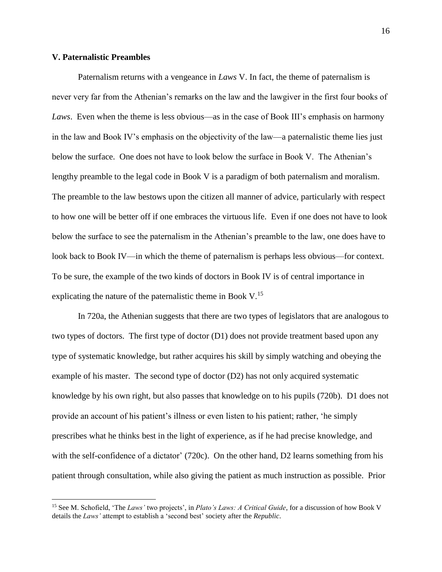# **V. Paternalistic Preambles**

 $\overline{a}$ 

Paternalism returns with a vengeance in *Laws* V. In fact, the theme of paternalism is never very far from the Athenian's remarks on the law and the lawgiver in the first four books of *Laws*. Even when the theme is less obvious—as in the case of Book III's emphasis on harmony in the law and Book IV's emphasis on the objectivity of the law—a paternalistic theme lies just below the surface. One does not have to look below the surface in Book V. The Athenian's lengthy preamble to the legal code in Book V is a paradigm of both paternalism and moralism. The preamble to the law bestows upon the citizen all manner of advice, particularly with respect to how one will be better off if one embraces the virtuous life. Even if one does not have to look below the surface to see the paternalism in the Athenian's preamble to the law, one does have to look back to Book IV—in which the theme of paternalism is perhaps less obvious—for context. To be sure, the example of the two kinds of doctors in Book IV is of central importance in explicating the nature of the paternalistic theme in Book V.<sup>15</sup>

In 720a, the Athenian suggests that there are two types of legislators that are analogous to two types of doctors. The first type of doctor (D1) does not provide treatment based upon any type of systematic knowledge, but rather acquires his skill by simply watching and obeying the example of his master. The second type of doctor  $(D2)$  has not only acquired systematic knowledge by his own right, but also passes that knowledge on to his pupils (720b). D1 does not provide an account of his patient's illness or even listen to his patient; rather, 'he simply prescribes what he thinks best in the light of experience, as if he had precise knowledge, and with the self-confidence of a dictator' (720c). On the other hand, D2 learns something from his patient through consultation, while also giving the patient as much instruction as possible. Prior

<sup>15</sup> See M. Schofield, 'The *Laws'* two projects', in *Plato's Laws: A Critical Guide*, for a discussion of how Book V details the *Laws'* attempt to establish a 'second best' society after the *Republic*.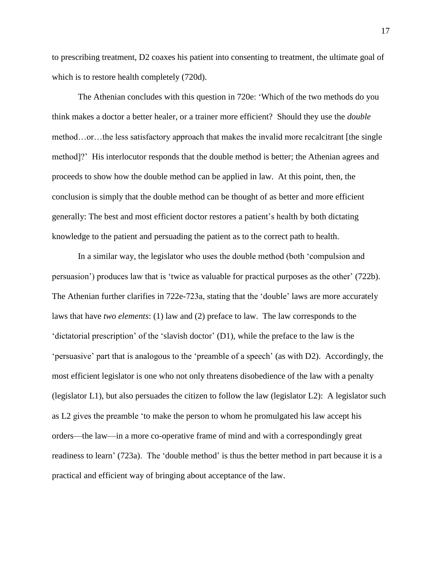to prescribing treatment, D2 coaxes his patient into consenting to treatment, the ultimate goal of which is to restore health completely (720d).

The Athenian concludes with this question in 720e: 'Which of the two methods do you think makes a doctor a better healer, or a trainer more efficient? Should they use the *double* method…or…the less satisfactory approach that makes the invalid more recalcitrant [the single method]?' His interlocutor responds that the double method is better; the Athenian agrees and proceeds to show how the double method can be applied in law. At this point, then, the conclusion is simply that the double method can be thought of as better and more efficient generally: The best and most efficient doctor restores a patient's health by both dictating knowledge to the patient and persuading the patient as to the correct path to health.

In a similar way, the legislator who uses the double method (both 'compulsion and persuasion') produces law that is 'twice as valuable for practical purposes as the other' (722b). The Athenian further clarifies in 722e-723a, stating that the 'double' laws are more accurately laws that have *two elements*: (1) law and (2) preface to law. The law corresponds to the 'dictatorial prescription' of the 'slavish doctor' (D1), while the preface to the law is the 'persuasive' part that is analogous to the 'preamble of a speech' (as with D2). Accordingly, the most efficient legislator is one who not only threatens disobedience of the law with a penalty (legislator L1), but also persuades the citizen to follow the law (legislator L2): A legislator such as L2 gives the preamble 'to make the person to whom he promulgated his law accept his orders—the law—in a more co-operative frame of mind and with a correspondingly great readiness to learn' (723a). The 'double method' is thus the better method in part because it is a practical and efficient way of bringing about acceptance of the law.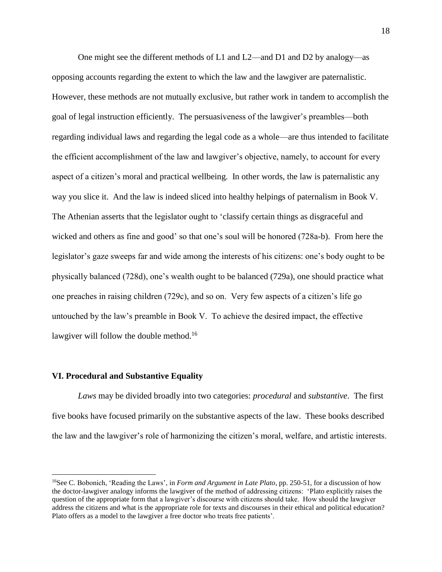One might see the different methods of L1 and L2—and D1 and D2 by analogy—as opposing accounts regarding the extent to which the law and the lawgiver are paternalistic. However, these methods are not mutually exclusive, but rather work in tandem to accomplish the goal of legal instruction efficiently. The persuasiveness of the lawgiver's preambles—both regarding individual laws and regarding the legal code as a whole—are thus intended to facilitate the efficient accomplishment of the law and lawgiver's objective, namely, to account for every aspect of a citizen's moral and practical wellbeing. In other words, the law is paternalistic any way you slice it. And the law is indeed sliced into healthy helpings of paternalism in Book V. The Athenian asserts that the legislator ought to 'classify certain things as disgraceful and wicked and others as fine and good' so that one's soul will be honored (728a-b). From here the legislator's gaze sweeps far and wide among the interests of his citizens: one's body ought to be physically balanced (728d), one's wealth ought to be balanced (729a), one should practice what one preaches in raising children (729c), and so on. Very few aspects of a citizen's life go untouched by the law's preamble in Book V. To achieve the desired impact, the effective lawgiver will follow the double method.<sup>16</sup>

# **VI. Procedural and Substantive Equality**

 $\overline{a}$ 

*Laws* may be divided broadly into two categories: *procedural* and *substantive*. The first five books have focused primarily on the substantive aspects of the law. These books described the law and the lawgiver's role of harmonizing the citizen's moral, welfare, and artistic interests.

<sup>16</sup>See C. Bobonich, 'Reading the Laws', in *Form and Argument in Late Plato*, pp. 250-51, for a discussion of how the doctor-lawgiver analogy informs the lawgiver of the method of addressing citizens: 'Plato explicitly raises the question of the appropriate form that a lawgiver's discourse with citizens should take. How should the lawgiver address the citizens and what is the appropriate role for texts and discourses in their ethical and political education? Plato offers as a model to the lawgiver a free doctor who treats free patients'.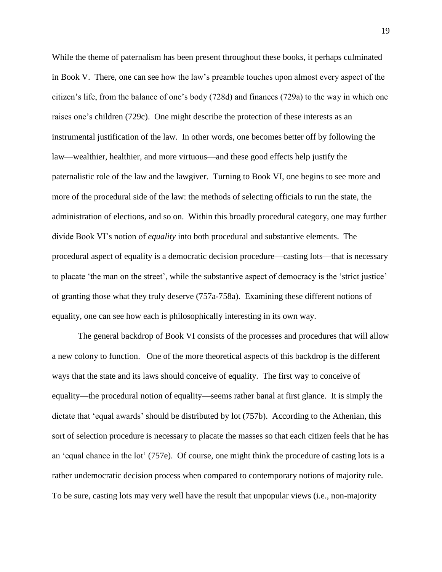While the theme of paternalism has been present throughout these books, it perhaps culminated in Book V. There, one can see how the law's preamble touches upon almost every aspect of the citizen's life, from the balance of one's body (728d) and finances (729a) to the way in which one raises one's children (729c). One might describe the protection of these interests as an instrumental justification of the law. In other words, one becomes better off by following the law—wealthier, healthier, and more virtuous—and these good effects help justify the paternalistic role of the law and the lawgiver. Turning to Book VI, one begins to see more and more of the procedural side of the law: the methods of selecting officials to run the state, the administration of elections, and so on. Within this broadly procedural category, one may further divide Book VI's notion of *equality* into both procedural and substantive elements. The procedural aspect of equality is a democratic decision procedure—casting lots—that is necessary to placate 'the man on the street', while the substantive aspect of democracy is the 'strict justice' of granting those what they truly deserve (757a-758a). Examining these different notions of equality, one can see how each is philosophically interesting in its own way.

The general backdrop of Book VI consists of the processes and procedures that will allow a new colony to function. One of the more theoretical aspects of this backdrop is the different ways that the state and its laws should conceive of equality. The first way to conceive of equality—the procedural notion of equality—seems rather banal at first glance. It is simply the dictate that 'equal awards' should be distributed by lot (757b). According to the Athenian, this sort of selection procedure is necessary to placate the masses so that each citizen feels that he has an 'equal chance in the lot' (757e). Of course, one might think the procedure of casting lots is a rather undemocratic decision process when compared to contemporary notions of majority rule. To be sure, casting lots may very well have the result that unpopular views (i.e., non-majority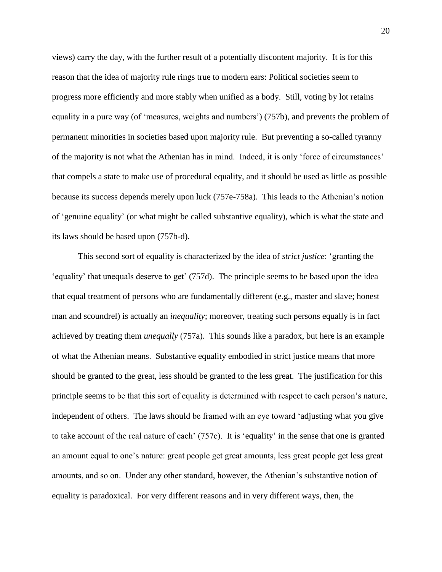views) carry the day, with the further result of a potentially discontent majority. It is for this reason that the idea of majority rule rings true to modern ears: Political societies seem to progress more efficiently and more stably when unified as a body. Still, voting by lot retains equality in a pure way (of 'measures, weights and numbers') (757b), and prevents the problem of permanent minorities in societies based upon majority rule. But preventing a so-called tyranny of the majority is not what the Athenian has in mind. Indeed, it is only 'force of circumstances' that compels a state to make use of procedural equality, and it should be used as little as possible because its success depends merely upon luck (757e-758a). This leads to the Athenian's notion of 'genuine equality' (or what might be called substantive equality), which is what the state and its laws should be based upon (757b-d).

This second sort of equality is characterized by the idea of *strict justice*: 'granting the 'equality' that unequals deserve to get' (757d). The principle seems to be based upon the idea that equal treatment of persons who are fundamentally different (e.g., master and slave; honest man and scoundrel) is actually an *inequality*; moreover, treating such persons equally is in fact achieved by treating them *unequally* (757a). This sounds like a paradox, but here is an example of what the Athenian means. Substantive equality embodied in strict justice means that more should be granted to the great, less should be granted to the less great. The justification for this principle seems to be that this sort of equality is determined with respect to each person's nature, independent of others. The laws should be framed with an eye toward 'adjusting what you give to take account of the real nature of each' (757c). It is 'equality' in the sense that one is granted an amount equal to one's nature: great people get great amounts, less great people get less great amounts, and so on. Under any other standard, however, the Athenian's substantive notion of equality is paradoxical. For very different reasons and in very different ways, then, the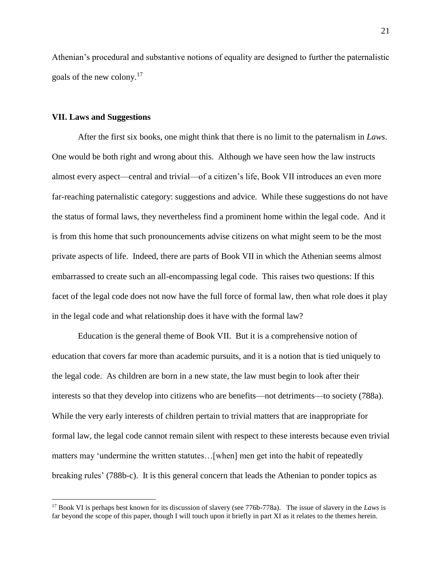Athenian's procedural and substantive notions of equality are designed to further the paternalistic goals of the new colony. 17

## **VII. Laws and Suggestions**

 $\overline{a}$ 

After the first six books, one might think that there is no limit to the paternalism in *Laws*. One would be both right and wrong about this. Although we have seen how the law instructs almost every aspect—central and trivial—of a citizen's life, Book VII introduces an even more far-reaching paternalistic category: suggestions and advice. While these suggestions do not have the status of formal laws, they nevertheless find a prominent home within the legal code. And it is from this home that such pronouncements advise citizens on what might seem to be the most private aspects of life. Indeed, there are parts of Book VII in which the Athenian seems almost embarrassed to create such an all-encompassing legal code. This raises two questions: If this facet of the legal code does not now have the full force of formal law, then what role does it play in the legal code and what relationship does it have with the formal law?

Education is the general theme of Book VII. But it is a comprehensive notion of education that covers far more than academic pursuits, and it is a notion that is tied uniquely to the legal code. As children are born in a new state, the law must begin to look after their interests so that they develop into citizens who are benefits—not detriments—to society (788a). While the very early interests of children pertain to trivial matters that are inappropriate for formal law, the legal code cannot remain silent with respect to these interests because even trivial matters may 'undermine the written statutes…[when] men get into the habit of repeatedly breaking rules' (788b-c). It is this general concern that leads the Athenian to ponder topics as

<sup>17</sup> Book VI is perhaps best known for its discussion of slavery (see 776b-778a). The issue of slavery in the *Laws* is far beyond the scope of this paper, though I will touch upon it briefly in part XI as it relates to the themes herein.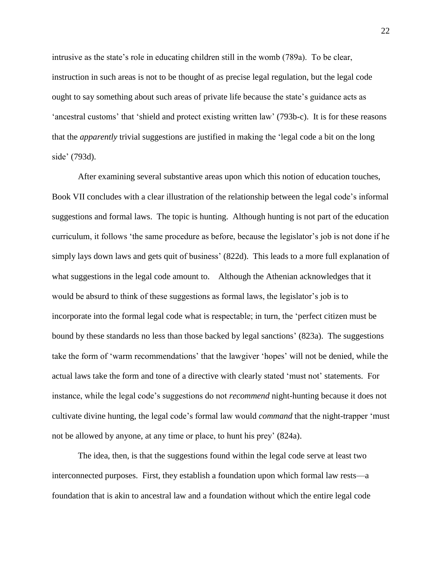intrusive as the state's role in educating children still in the womb (789a). To be clear, instruction in such areas is not to be thought of as precise legal regulation, but the legal code ought to say something about such areas of private life because the state's guidance acts as 'ancestral customs' that 'shield and protect existing written law' (793b-c). It is for these reasons that the *apparently* trivial suggestions are justified in making the 'legal code a bit on the long side' (793d).

After examining several substantive areas upon which this notion of education touches, Book VII concludes with a clear illustration of the relationship between the legal code's informal suggestions and formal laws. The topic is hunting. Although hunting is not part of the education curriculum, it follows 'the same procedure as before, because the legislator's job is not done if he simply lays down laws and gets quit of business' (822d). This leads to a more full explanation of what suggestions in the legal code amount to. Although the Athenian acknowledges that it would be absurd to think of these suggestions as formal laws, the legislator's job is to incorporate into the formal legal code what is respectable; in turn, the 'perfect citizen must be bound by these standards no less than those backed by legal sanctions' (823a). The suggestions take the form of 'warm recommendations' that the lawgiver 'hopes' will not be denied, while the actual laws take the form and tone of a directive with clearly stated 'must not' statements. For instance, while the legal code's suggestions do not *recommend* night-hunting because it does not cultivate divine hunting, the legal code's formal law would *command* that the night-trapper 'must not be allowed by anyone, at any time or place, to hunt his prey' (824a).

The idea, then, is that the suggestions found within the legal code serve at least two interconnected purposes. First, they establish a foundation upon which formal law rests—a foundation that is akin to ancestral law and a foundation without which the entire legal code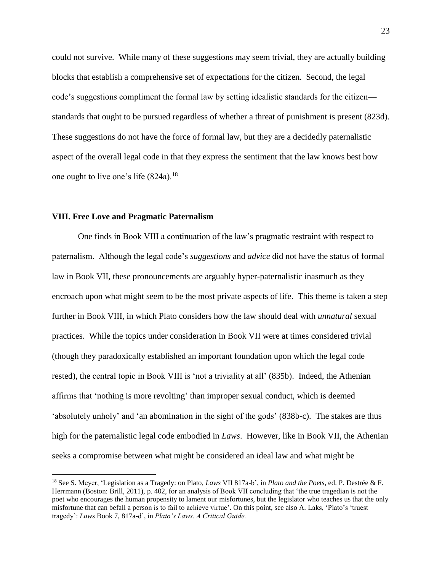could not survive. While many of these suggestions may seem trivial, they are actually building blocks that establish a comprehensive set of expectations for the citizen. Second, the legal code's suggestions compliment the formal law by setting idealistic standards for the citizen standards that ought to be pursued regardless of whether a threat of punishment is present (823d). These suggestions do not have the force of formal law, but they are a decidedly paternalistic aspect of the overall legal code in that they express the sentiment that the law knows best how one ought to live one's life  $(824a).<sup>18</sup>$ 

# **VIII. Free Love and Pragmatic Paternalism**

 $\overline{a}$ 

One finds in Book VIII a continuation of the law's pragmatic restraint with respect to paternalism. Although the legal code's *suggestions* and *advice* did not have the status of formal law in Book VII, these pronouncements are arguably hyper-paternalistic inasmuch as they encroach upon what might seem to be the most private aspects of life. This theme is taken a step further in Book VIII, in which Plato considers how the law should deal with *unnatural* sexual practices. While the topics under consideration in Book VII were at times considered trivial (though they paradoxically established an important foundation upon which the legal code rested), the central topic in Book VIII is 'not a triviality at all' (835b). Indeed, the Athenian affirms that 'nothing is more revolting' than improper sexual conduct, which is deemed 'absolutely unholy' and 'an abomination in the sight of the gods' (838b-c). The stakes are thus high for the paternalistic legal code embodied in *Laws*. However, like in Book VII, the Athenian seeks a compromise between what might be considered an ideal law and what might be

<sup>18</sup> See S. Meyer, 'Legislation as a Tragedy: on Plato, *Laws* VII 817a-b', in *Plato and the Poets*, ed. P. Destrée & F. Herrmann (Boston: Brill, 2011), p. 402, for an analysis of Book VII concluding that 'the true tragedian is not the poet who encourages the human propensity to lament our misfortunes, but the legislator who teaches us that the only misfortune that can befall a person is to fail to achieve virtue'. On this point, see also A. Laks, 'Plato's 'truest tragedy': *Laws* Book 7, 817a-d', in *Plato's Laws. A Critical Guide.*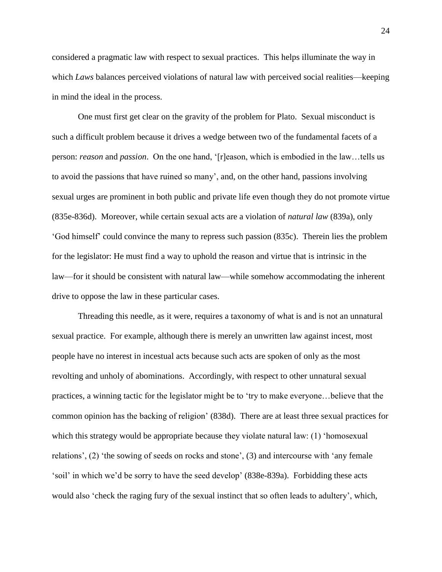considered a pragmatic law with respect to sexual practices. This helps illuminate the way in which *Laws* balances perceived violations of natural law with perceived social realities—keeping in mind the ideal in the process.

One must first get clear on the gravity of the problem for Plato. Sexual misconduct is such a difficult problem because it drives a wedge between two of the fundamental facets of a person: *reason* and *passion*. On the one hand, '[r]eason, which is embodied in the law…tells us to avoid the passions that have ruined so many', and, on the other hand, passions involving sexual urges are prominent in both public and private life even though they do not promote virtue (835e-836d). Moreover, while certain sexual acts are a violation of *natural law* (839a), only 'God himself' could convince the many to repress such passion (835c). Therein lies the problem for the legislator: He must find a way to uphold the reason and virtue that is intrinsic in the law—for it should be consistent with natural law—while somehow accommodating the inherent drive to oppose the law in these particular cases.

Threading this needle, as it were, requires a taxonomy of what is and is not an unnatural sexual practice. For example, although there is merely an unwritten law against incest, most people have no interest in incestual acts because such acts are spoken of only as the most revolting and unholy of abominations. Accordingly, with respect to other unnatural sexual practices, a winning tactic for the legislator might be to 'try to make everyone…believe that the common opinion has the backing of religion' (838d). There are at least three sexual practices for which this strategy would be appropriate because they violate natural law: (1) 'homosexual relations', (2) 'the sowing of seeds on rocks and stone', (3) and intercourse with 'any female 'soil' in which we'd be sorry to have the seed develop' (838e-839a). Forbidding these acts would also 'check the raging fury of the sexual instinct that so often leads to adultery', which,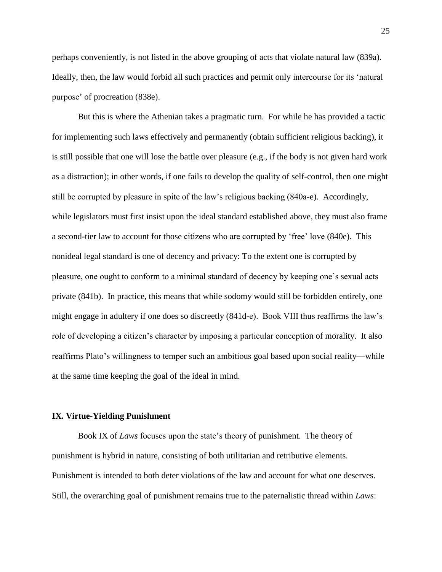perhaps conveniently, is not listed in the above grouping of acts that violate natural law (839a). Ideally, then, the law would forbid all such practices and permit only intercourse for its 'natural purpose' of procreation (838e).

But this is where the Athenian takes a pragmatic turn. For while he has provided a tactic for implementing such laws effectively and permanently (obtain sufficient religious backing), it is still possible that one will lose the battle over pleasure (e.g., if the body is not given hard work as a distraction); in other words, if one fails to develop the quality of self-control, then one might still be corrupted by pleasure in spite of the law's religious backing (840a-e). Accordingly, while legislators must first insist upon the ideal standard established above, they must also frame a second-tier law to account for those citizens who are corrupted by 'free' love (840e). This nonideal legal standard is one of decency and privacy: To the extent one is corrupted by pleasure, one ought to conform to a minimal standard of decency by keeping one's sexual acts private (841b). In practice, this means that while sodomy would still be forbidden entirely, one might engage in adultery if one does so discreetly (841d-e). Book VIII thus reaffirms the law's role of developing a citizen's character by imposing a particular conception of morality. It also reaffirms Plato's willingness to temper such an ambitious goal based upon social reality—while at the same time keeping the goal of the ideal in mind.

#### **IX. Virtue-Yielding Punishment**

Book IX of *Laws* focuses upon the state's theory of punishment. The theory of punishment is hybrid in nature, consisting of both utilitarian and retributive elements. Punishment is intended to both deter violations of the law and account for what one deserves. Still, the overarching goal of punishment remains true to the paternalistic thread within *Laws*: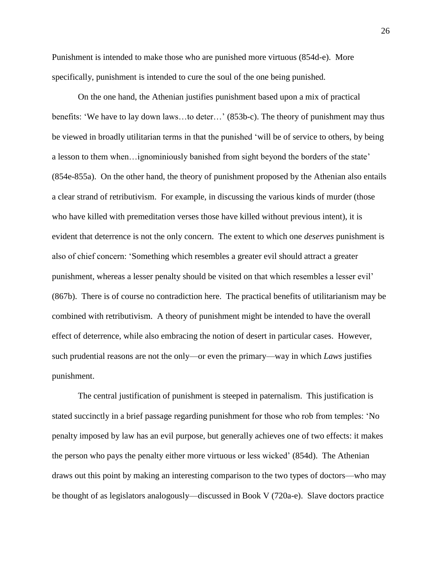Punishment is intended to make those who are punished more virtuous (854d-e). More specifically, punishment is intended to cure the soul of the one being punished.

On the one hand, the Athenian justifies punishment based upon a mix of practical benefits: 'We have to lay down laws…to deter…' (853b-c). The theory of punishment may thus be viewed in broadly utilitarian terms in that the punished 'will be of service to others, by being a lesson to them when…ignominiously banished from sight beyond the borders of the state' (854e-855a). On the other hand, the theory of punishment proposed by the Athenian also entails a clear strand of retributivism. For example, in discussing the various kinds of murder (those who have killed with premeditation verses those have killed without previous intent), it is evident that deterrence is not the only concern. The extent to which one *deserves* punishment is also of chief concern: 'Something which resembles a greater evil should attract a greater punishment, whereas a lesser penalty should be visited on that which resembles a lesser evil' (867b). There is of course no contradiction here. The practical benefits of utilitarianism may be combined with retributivism. A theory of punishment might be intended to have the overall effect of deterrence, while also embracing the notion of desert in particular cases. However, such prudential reasons are not the only—or even the primary—way in which *Laws* justifies punishment.

The central justification of punishment is steeped in paternalism. This justification is stated succinctly in a brief passage regarding punishment for those who rob from temples: 'No penalty imposed by law has an evil purpose, but generally achieves one of two effects: it makes the person who pays the penalty either more virtuous or less wicked' (854d). The Athenian draws out this point by making an interesting comparison to the two types of doctors—who may be thought of as legislators analogously—discussed in Book V (720a-e). Slave doctors practice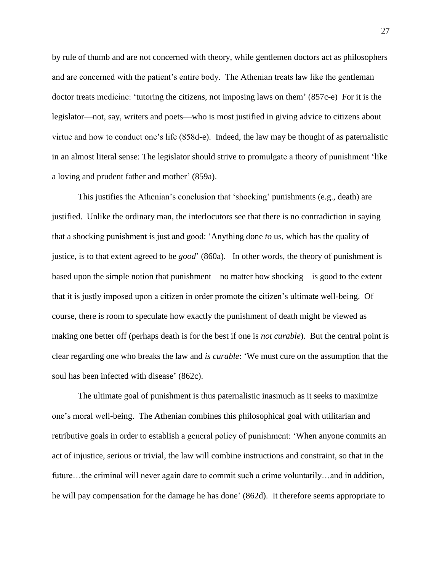by rule of thumb and are not concerned with theory, while gentlemen doctors act as philosophers and are concerned with the patient's entire body. The Athenian treats law like the gentleman doctor treats medicine: 'tutoring the citizens, not imposing laws on them' (857c-e) For it is the legislator—not, say, writers and poets—who is most justified in giving advice to citizens about virtue and how to conduct one's life (858d-e). Indeed, the law may be thought of as paternalistic in an almost literal sense: The legislator should strive to promulgate a theory of punishment 'like a loving and prudent father and mother' (859a).

This justifies the Athenian's conclusion that 'shocking' punishments (e.g., death) are justified. Unlike the ordinary man, the interlocutors see that there is no contradiction in saying that a shocking punishment is just and good: 'Anything done *to* us, which has the quality of justice, is to that extent agreed to be *good*' (860a). In other words, the theory of punishment is based upon the simple notion that punishment—no matter how shocking—is good to the extent that it is justly imposed upon a citizen in order promote the citizen's ultimate well-being. Of course, there is room to speculate how exactly the punishment of death might be viewed as making one better off (perhaps death is for the best if one is *not curable*). But the central point is clear regarding one who breaks the law and *is curable*: 'We must cure on the assumption that the soul has been infected with disease' (862c).

The ultimate goal of punishment is thus paternalistic inasmuch as it seeks to maximize one's moral well-being. The Athenian combines this philosophical goal with utilitarian and retributive goals in order to establish a general policy of punishment: 'When anyone commits an act of injustice, serious or trivial, the law will combine instructions and constraint, so that in the future…the criminal will never again dare to commit such a crime voluntarily…and in addition, he will pay compensation for the damage he has done' (862d). It therefore seems appropriate to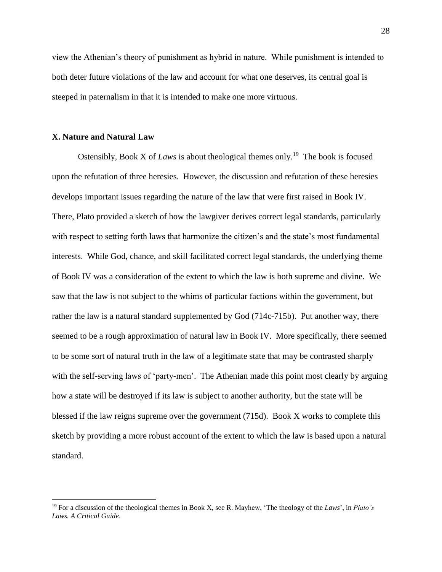view the Athenian's theory of punishment as hybrid in nature. While punishment is intended to both deter future violations of the law and account for what one deserves, its central goal is steeped in paternalism in that it is intended to make one more virtuous.

# **X. Nature and Natural Law**

 $\overline{a}$ 

Ostensibly, Book X of *Laws* is about theological themes only.<sup>19</sup> The book is focused upon the refutation of three heresies. However, the discussion and refutation of these heresies develops important issues regarding the nature of the law that were first raised in Book IV. There, Plato provided a sketch of how the lawgiver derives correct legal standards, particularly with respect to setting forth laws that harmonize the citizen's and the state's most fundamental interests. While God, chance, and skill facilitated correct legal standards, the underlying theme of Book IV was a consideration of the extent to which the law is both supreme and divine. We saw that the law is not subject to the whims of particular factions within the government, but rather the law is a natural standard supplemented by God (714c-715b). Put another way, there seemed to be a rough approximation of natural law in Book IV. More specifically, there seemed to be some sort of natural truth in the law of a legitimate state that may be contrasted sharply with the self-serving laws of 'party-men'. The Athenian made this point most clearly by arguing how a state will be destroyed if its law is subject to another authority, but the state will be blessed if the law reigns supreme over the government (715d). Book X works to complete this sketch by providing a more robust account of the extent to which the law is based upon a natural standard.

<sup>19</sup> For a discussion of the theological themes in Book X, see R. Mayhew, 'The theology of the *Laws*', in *Plato's Laws. A Critical Guide*.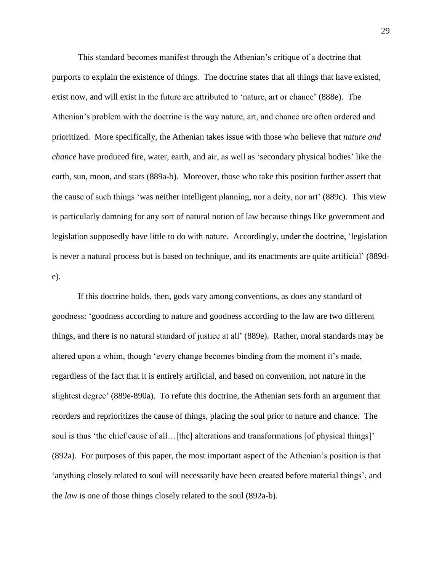This standard becomes manifest through the Athenian's critique of a doctrine that purports to explain the existence of things. The doctrine states that all things that have existed, exist now, and will exist in the future are attributed to 'nature, art or chance' (888e). The Athenian's problem with the doctrine is the way nature, art, and chance are often ordered and prioritized. More specifically, the Athenian takes issue with those who believe that *nature and chance* have produced fire, water, earth, and air, as well as 'secondary physical bodies' like the earth, sun, moon, and stars (889a-b). Moreover, those who take this position further assert that the cause of such things 'was neither intelligent planning, nor a deity, nor art' (889c). This view is particularly damning for any sort of natural notion of law because things like government and legislation supposedly have little to do with nature. Accordingly, under the doctrine, 'legislation is never a natural process but is based on technique, and its enactments are quite artificial' (889de).

If this doctrine holds, then, gods vary among conventions, as does any standard of goodness: 'goodness according to nature and goodness according to the law are two different things, and there is no natural standard of justice at all' (889e). Rather, moral standards may be altered upon a whim, though 'every change becomes binding from the moment it's made, regardless of the fact that it is entirely artificial, and based on convention, not nature in the slightest degree' (889e-890a). To refute this doctrine, the Athenian sets forth an argument that reorders and reprioritizes the cause of things, placing the soul prior to nature and chance. The soul is thus 'the chief cause of all…[the] alterations and transformations [of physical things]' (892a). For purposes of this paper, the most important aspect of the Athenian's position is that 'anything closely related to soul will necessarily have been created before material things', and the *law* is one of those things closely related to the soul (892a-b).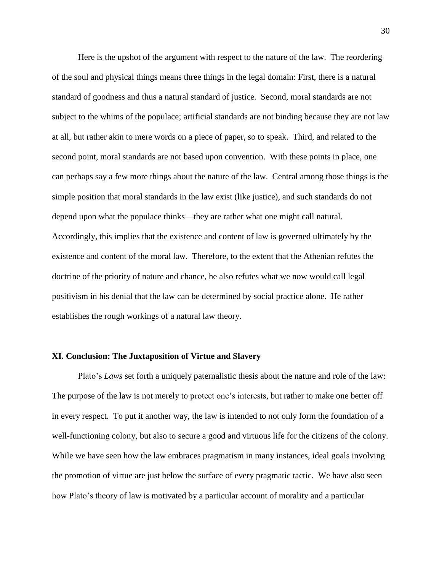Here is the upshot of the argument with respect to the nature of the law. The reordering of the soul and physical things means three things in the legal domain: First, there is a natural standard of goodness and thus a natural standard of justice. Second, moral standards are not subject to the whims of the populace; artificial standards are not binding because they are not law at all, but rather akin to mere words on a piece of paper, so to speak. Third, and related to the second point, moral standards are not based upon convention. With these points in place, one can perhaps say a few more things about the nature of the law. Central among those things is the simple position that moral standards in the law exist (like justice), and such standards do not depend upon what the populace thinks—they are rather what one might call natural. Accordingly, this implies that the existence and content of law is governed ultimately by the existence and content of the moral law. Therefore, to the extent that the Athenian refutes the doctrine of the priority of nature and chance, he also refutes what we now would call legal positivism in his denial that the law can be determined by social practice alone. He rather establishes the rough workings of a natural law theory.

# **XI. Conclusion: The Juxtaposition of Virtue and Slavery**

Plato's *Laws* set forth a uniquely paternalistic thesis about the nature and role of the law: The purpose of the law is not merely to protect one's interests, but rather to make one better off in every respect. To put it another way, the law is intended to not only form the foundation of a well-functioning colony, but also to secure a good and virtuous life for the citizens of the colony. While we have seen how the law embraces pragmatism in many instances, ideal goals involving the promotion of virtue are just below the surface of every pragmatic tactic. We have also seen how Plato's theory of law is motivated by a particular account of morality and a particular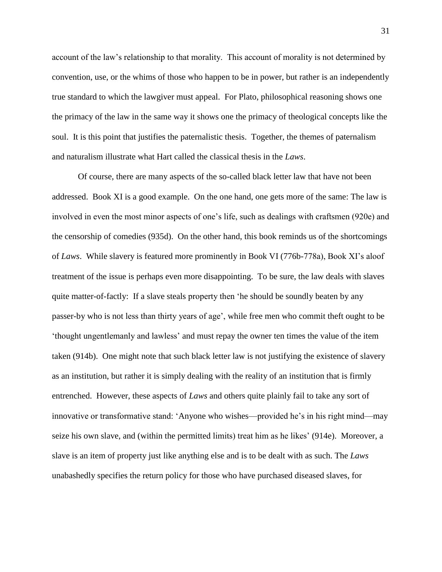account of the law's relationship to that morality. This account of morality is not determined by convention, use, or the whims of those who happen to be in power, but rather is an independently true standard to which the lawgiver must appeal. For Plato, philosophical reasoning shows one the primacy of the law in the same way it shows one the primacy of theological concepts like the soul. It is this point that justifies the paternalistic thesis. Together, the themes of paternalism and naturalism illustrate what Hart called the classical thesis in the *Laws*.

Of course, there are many aspects of the so-called black letter law that have not been addressed. Book XI is a good example. On the one hand, one gets more of the same: The law is involved in even the most minor aspects of one's life, such as dealings with craftsmen (920e) and the censorship of comedies (935d). On the other hand, this book reminds us of the shortcomings of *Laws*. While slavery is featured more prominently in Book VI (776b-778a), Book XI's aloof treatment of the issue is perhaps even more disappointing. To be sure, the law deals with slaves quite matter-of-factly: If a slave steals property then 'he should be soundly beaten by any passer-by who is not less than thirty years of age', while free men who commit theft ought to be 'thought ungentlemanly and lawless' and must repay the owner ten times the value of the item taken (914b). One might note that such black letter law is not justifying the existence of slavery as an institution, but rather it is simply dealing with the reality of an institution that is firmly entrenched. However, these aspects of *Laws* and others quite plainly fail to take any sort of innovative or transformative stand: 'Anyone who wishes—provided he's in his right mind—may seize his own slave, and (within the permitted limits) treat him as he likes' (914e). Moreover, a slave is an item of property just like anything else and is to be dealt with as such. The *Laws* unabashedly specifies the return policy for those who have purchased diseased slaves, for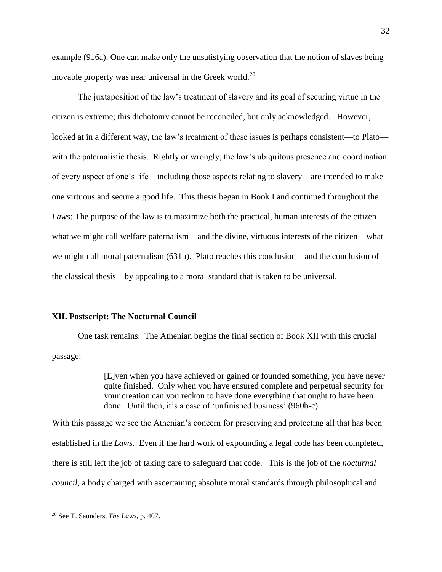example (916a). One can make only the unsatisfying observation that the notion of slaves being movable property was near universal in the Greek world.<sup>20</sup>

The juxtaposition of the law's treatment of slavery and its goal of securing virtue in the citizen is extreme; this dichotomy cannot be reconciled, but only acknowledged. However, looked at in a different way, the law's treatment of these issues is perhaps consistent—to Plato with the paternalistic thesis. Rightly or wrongly, the law's ubiquitous presence and coordination of every aspect of one's life—including those aspects relating to slavery—are intended to make one virtuous and secure a good life. This thesis began in Book I and continued throughout the *Laws*: The purpose of the law is to maximize both the practical, human interests of the citizen what we might call welfare paternalism—and the divine, virtuous interests of the citizen—what we might call moral paternalism (631b). Plato reaches this conclusion—and the conclusion of the classical thesis—by appealing to a moral standard that is taken to be universal.

# **XII. Postscript: The Nocturnal Council**

One task remains. The Athenian begins the final section of Book XII with this crucial passage:

> [E]ven when you have achieved or gained or founded something, you have never quite finished. Only when you have ensured complete and perpetual security for your creation can you reckon to have done everything that ought to have been done. Until then, it's a case of 'unfinished business' (960b-c).

With this passage we see the Athenian's concern for preserving and protecting all that has been established in the *Laws*. Even if the hard work of expounding a legal code has been completed, there is still left the job of taking care to safeguard that code. This is the job of the *nocturnal council*, a body charged with ascertaining absolute moral standards through philosophical and

<sup>20</sup> See T. Saunders, *The Laws*, p. 407.